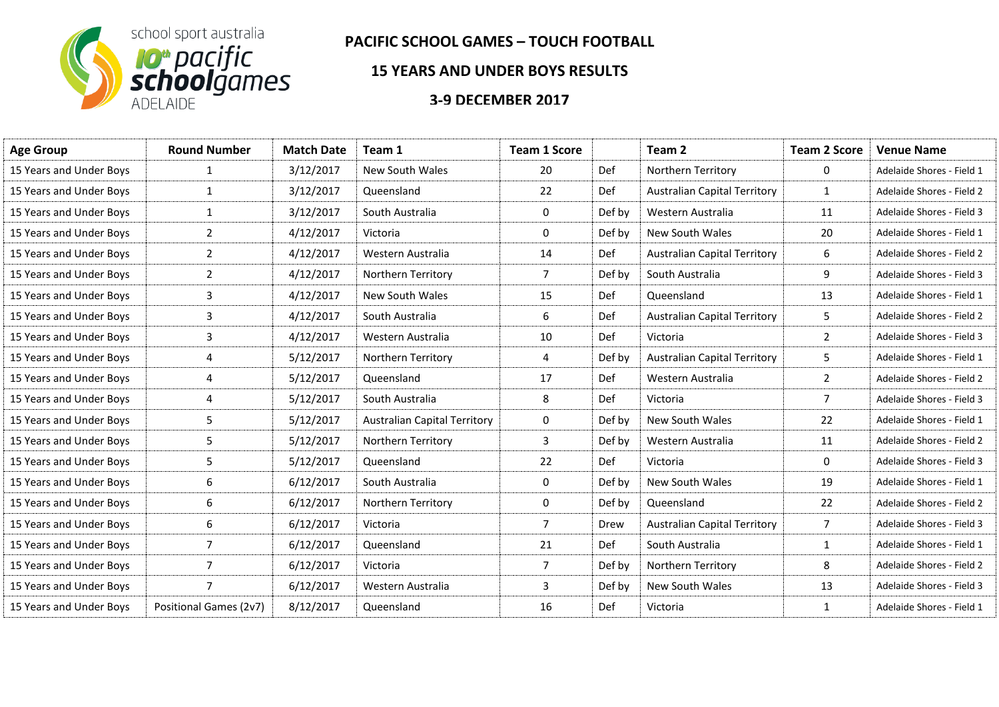

## **PACIFIC SCHOOL GAMES – TOUCH FOOTBALL**

## **15 YEARS AND UNDER BOYS RESULTS**

## **3-9 DECEMBER 2017**

| <b>Age Group</b>        | <b>Round Number</b>    | <b>Match Date</b> | Team 1                              | <b>Team 1 Score</b> |            | Team 2                              | <b>Team 2 Score</b> | <b>Venue Name</b>         |
|-------------------------|------------------------|-------------------|-------------------------------------|---------------------|------------|-------------------------------------|---------------------|---------------------------|
| 15 Years and Under Boys | $\mathbf{1}$           | 3/12/2017         | New South Wales                     | 20                  | Def        | Northern Territory                  | 0                   | Adelaide Shores - Field 1 |
| 15 Years and Under Boys | $\mathbf{1}$           | 3/12/2017         | Queensland                          | 22                  | Def        | <b>Australian Capital Territory</b> | $\mathbf{1}$        | Adelaide Shores - Field 2 |
| 15 Years and Under Boys | $\mathbf{1}$           | 3/12/2017         | South Australia                     | 0                   | Def by     | Western Australia                   | 11                  | Adelaide Shores - Field 3 |
| 15 Years and Under Boys | $\overline{2}$         | 4/12/2017         | Victoria                            | 0                   | Def by     | New South Wales                     | 20                  | Adelaide Shores - Field 1 |
| 15 Years and Under Boys | $\overline{2}$         | 4/12/2017         | Western Australia                   | 14                  | Def        | <b>Australian Capital Territory</b> | 6                   | Adelaide Shores - Field 2 |
| 15 Years and Under Boys | $\overline{2}$         | 4/12/2017         | Northern Territory                  | $\overline{7}$      | Def by     | South Australia                     | 9                   | Adelaide Shores - Field 3 |
| 15 Years and Under Boys | 3                      | 4/12/2017         | New South Wales                     | 15                  | Def        | Queensland                          | 13                  | Adelaide Shores - Field 1 |
| 15 Years and Under Boys | 3                      | 4/12/2017         | South Australia                     | 6                   | <b>Def</b> | <b>Australian Capital Territory</b> | 5                   | Adelaide Shores - Field 2 |
| 15 Years and Under Boys | 3                      | 4/12/2017         | Western Australia                   | 10                  | Def        | Victoria                            | $\overline{2}$      | Adelaide Shores - Field 3 |
| 15 Years and Under Boys | 4                      | 5/12/2017         | Northern Territory                  | 4                   | Def by     | <b>Australian Capital Territory</b> | 5                   | Adelaide Shores - Field 1 |
| 15 Years and Under Boys | 4                      | 5/12/2017         | Queensland                          | 17                  | <b>Def</b> | Western Australia                   | $\overline{2}$      | Adelaide Shores - Field 2 |
| 15 Years and Under Boys | 4                      | 5/12/2017         | South Australia                     | 8                   | Def        | Victoria                            | $\overline{7}$      | Adelaide Shores - Field 3 |
| 15 Years and Under Boys | 5                      | 5/12/2017         | <b>Australian Capital Territory</b> | 0                   | Def by     | New South Wales                     | 22                  | Adelaide Shores - Field 1 |
| 15 Years and Under Boys | 5                      | 5/12/2017         | Northern Territory                  | 3                   | Def by     | Western Australia                   | 11                  | Adelaide Shores - Field 2 |
| 15 Years and Under Boys | 5                      | 5/12/2017         | Queensland                          | 22                  | Def        | Victoria                            | 0                   | Adelaide Shores - Field 3 |
| 15 Years and Under Boys | 6                      | 6/12/2017         | South Australia                     | 0                   | Def by     | <b>New South Wales</b>              | 19                  | Adelaide Shores - Field 1 |
| 15 Years and Under Boys | 6                      | 6/12/2017         | Northern Territory                  | 0                   | Def by     | Queensland                          | 22                  | Adelaide Shores - Field 2 |
| 15 Years and Under Boys | 6                      | 6/12/2017         | Victoria                            | $\overline{7}$      | Drew       | <b>Australian Capital Territory</b> | $7^{\circ}$         | Adelaide Shores - Field 3 |
| 15 Years and Under Boys | $\overline{7}$         | 6/12/2017         | Queensland                          | 21                  | <b>Def</b> | South Australia                     | $\mathbf{1}$        | Adelaide Shores - Field 1 |
| 15 Years and Under Boys | $\overline{7}$         | 6/12/2017         | Victoria                            | $\overline{7}$      | Def by     | Northern Territory                  | 8                   | Adelaide Shores - Field 2 |
| 15 Years and Under Boys | 7                      | 6/12/2017         | Western Australia                   | 3                   | Def by     | New South Wales                     | 13                  | Adelaide Shores - Field 3 |
| 15 Years and Under Boys | Positional Games (2v7) | 8/12/2017         | Queensland                          | 16                  | Def        | Victoria                            | $\mathbf{1}$        | Adelaide Shores - Field 1 |